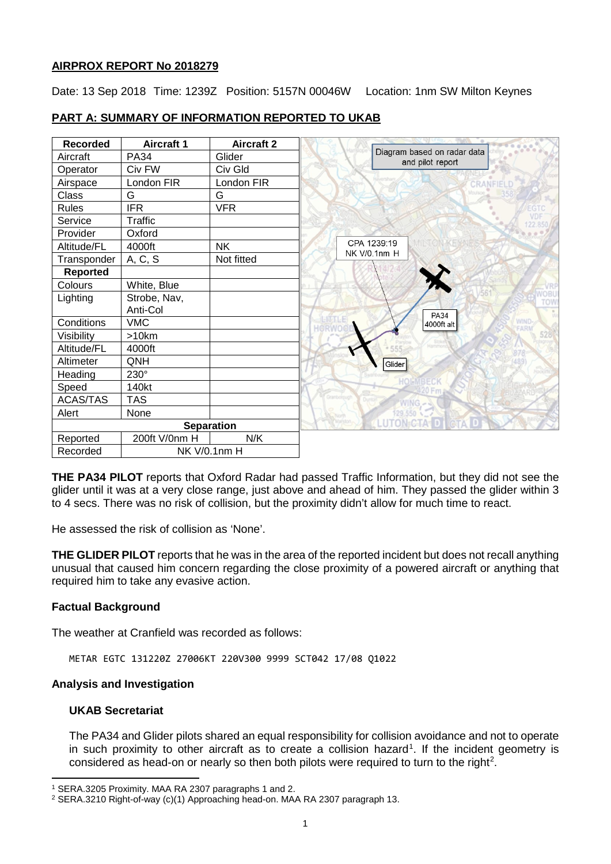## **AIRPROX REPORT No 2018279**

Date: 13 Sep 2018 Time: 1239Z Position: 5157N 00046W Location: 1nm SW Milton Keynes

| <b>Recorded</b> | <b>Aircraft 1</b> | <b>Aircraft 2</b> |                                                 |
|-----------------|-------------------|-------------------|-------------------------------------------------|
| Aircraft        | <b>PA34</b>       | Glider            | Diagram based on radar data<br>and pilot report |
| Operator        | Civ FW            | Civ Gld           |                                                 |
| Airspace        | London FIR        | London FIR        | CRANFIELD                                       |
| Class           | G                 | G                 |                                                 |
| Rules           | <b>IFR</b>        | <b>VFR</b>        |                                                 |
| Service         | <b>Traffic</b>    |                   |                                                 |
| Provider        | Oxford            |                   |                                                 |
| Altitude/FL     | 4000ft            | <b>NK</b>         | CPA 1239:19                                     |
| Transponder     | A, C, S           | Not fitted        | NK V/0.1nm H                                    |
| Reported        |                   |                   |                                                 |
| Colours         | White, Blue       |                   |                                                 |
| Lighting        | Strobe, Nav,      |                   |                                                 |
|                 | Anti-Col          |                   | <b>PA34</b>                                     |
| Conditions      | <b>VMC</b>        |                   | 4000ft alt                                      |
| Visibility      | >10km             |                   |                                                 |
| Altitude/FL     | 4000ft            |                   |                                                 |
| Altimeter       | QNH               |                   | Glider                                          |
| Heading         | 230°              |                   |                                                 |
| Speed           | 140kt             |                   |                                                 |
| ACAS/TAS        | <b>TAS</b>        |                   |                                                 |
| Alert           | None              |                   | 129,550                                         |
|                 |                   | <b>Separation</b> | <b>UTON=CTA-</b>                                |
| Reported        | 200ft V/0nm H     | N/K               |                                                 |
| Recorded        | NK V/0.1nm H      |                   |                                                 |

# **PART A: SUMMARY OF INFORMATION REPORTED TO UKAB**

**THE PA34 PILOT** reports that Oxford Radar had passed Traffic Information, but they did not see the glider until it was at a very close range, just above and ahead of him. They passed the glider within 3 to 4 secs. There was no risk of collision, but the proximity didn't allow for much time to react.

He assessed the risk of collision as 'None'.

**THE GLIDER PILOT** reports that he was in the area of the reported incident but does not recall anything unusual that caused him concern regarding the close proximity of a powered aircraft or anything that required him to take any evasive action.

## **Factual Background**

The weather at Cranfield was recorded as follows:

METAR EGTC 131220Z 27006KT 220V300 9999 SCT042 17/08 Q1022

# **Analysis and Investigation**

### **UKAB Secretariat**

l

The PA34 and Glider pilots shared an equal responsibility for collision avoidance and not to operate in such proximity to other aircraft as to create a collision hazard<sup>[1](#page-0-0)</sup>. If the incident geometry is considered as head-on or nearly so then both pilots were required to turn to the right<sup>[2](#page-0-1)</sup>.

<span id="page-0-0"></span><sup>1</sup> SERA.3205 Proximity. MAA RA 2307 paragraphs 1 and 2.

<span id="page-0-1"></span><sup>2</sup> SERA.3210 Right-of-way (c)(1) Approaching head-on. MAA RA 2307 paragraph 13.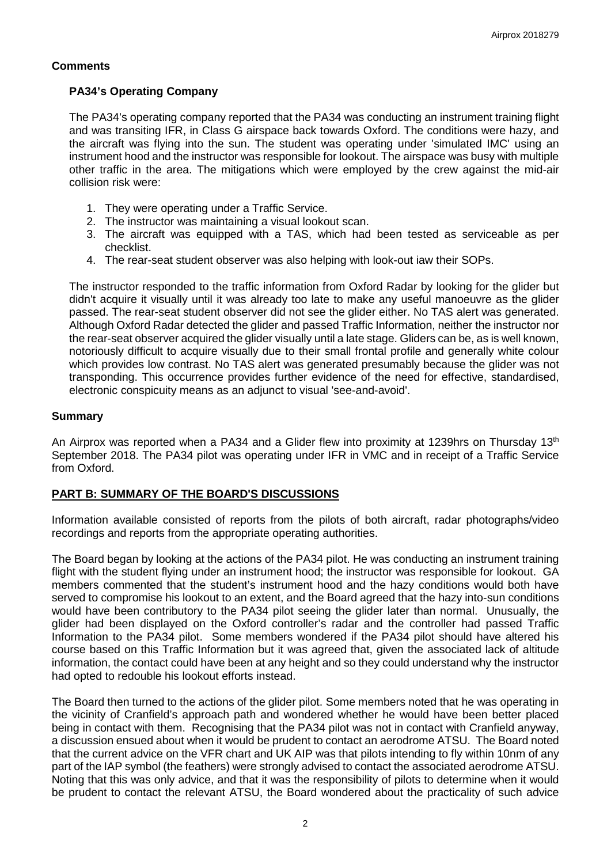### **Comments**

## **PA34's Operating Company**

The PA34's operating company reported that the PA34 was conducting an instrument training flight and was transiting IFR, in Class G airspace back towards Oxford. The conditions were hazy, and the aircraft was flying into the sun. The student was operating under 'simulated IMC' using an instrument hood and the instructor was responsible for lookout. The airspace was busy with multiple other traffic in the area. The mitigations which were employed by the crew against the mid-air collision risk were:

- 1. They were operating under a Traffic Service.
- 2. The instructor was maintaining a visual lookout scan.
- 3. The aircraft was equipped with a TAS, which had been tested as serviceable as per checklist.
- 4. The rear-seat student observer was also helping with look-out iaw their SOPs.

The instructor responded to the traffic information from Oxford Radar by looking for the glider but didn't acquire it visually until it was already too late to make any useful manoeuvre as the glider passed. The rear-seat student observer did not see the glider either. No TAS alert was generated. Although Oxford Radar detected the glider and passed Traffic Information, neither the instructor nor the rear-seat observer acquired the glider visually until a late stage. Gliders can be, as is well known, notoriously difficult to acquire visually due to their small frontal profile and generally white colour which provides low contrast. No TAS alert was generated presumably because the glider was not transponding. This occurrence provides further evidence of the need for effective, standardised, electronic conspicuity means as an adjunct to visual 'see-and-avoid'.

### **Summary**

An Airprox was reported when a PA34 and a Glider flew into proximity at 1239hrs on Thursday 13<sup>th</sup> September 2018. The PA34 pilot was operating under IFR in VMC and in receipt of a Traffic Service from Oxford.

## **PART B: SUMMARY OF THE BOARD'S DISCUSSIONS**

Information available consisted of reports from the pilots of both aircraft, radar photographs/video recordings and reports from the appropriate operating authorities.

The Board began by looking at the actions of the PA34 pilot. He was conducting an instrument training flight with the student flying under an instrument hood; the instructor was responsible for lookout. GA members commented that the student's instrument hood and the hazy conditions would both have served to compromise his lookout to an extent, and the Board agreed that the hazy into-sun conditions would have been contributory to the PA34 pilot seeing the glider later than normal. Unusually, the glider had been displayed on the Oxford controller's radar and the controller had passed Traffic Information to the PA34 pilot. Some members wondered if the PA34 pilot should have altered his course based on this Traffic Information but it was agreed that, given the associated lack of altitude information, the contact could have been at any height and so they could understand why the instructor had opted to redouble his lookout efforts instead.

The Board then turned to the actions of the glider pilot. Some members noted that he was operating in the vicinity of Cranfield's approach path and wondered whether he would have been better placed being in contact with them. Recognising that the PA34 pilot was not in contact with Cranfield anyway, a discussion ensued about when it would be prudent to contact an aerodrome ATSU. The Board noted that the current advice on the VFR chart and UK AIP was that pilots intending to fly within 10nm of any part of the IAP symbol (the feathers) were strongly advised to contact the associated aerodrome ATSU. Noting that this was only advice, and that it was the responsibility of pilots to determine when it would be prudent to contact the relevant ATSU, the Board wondered about the practicality of such advice